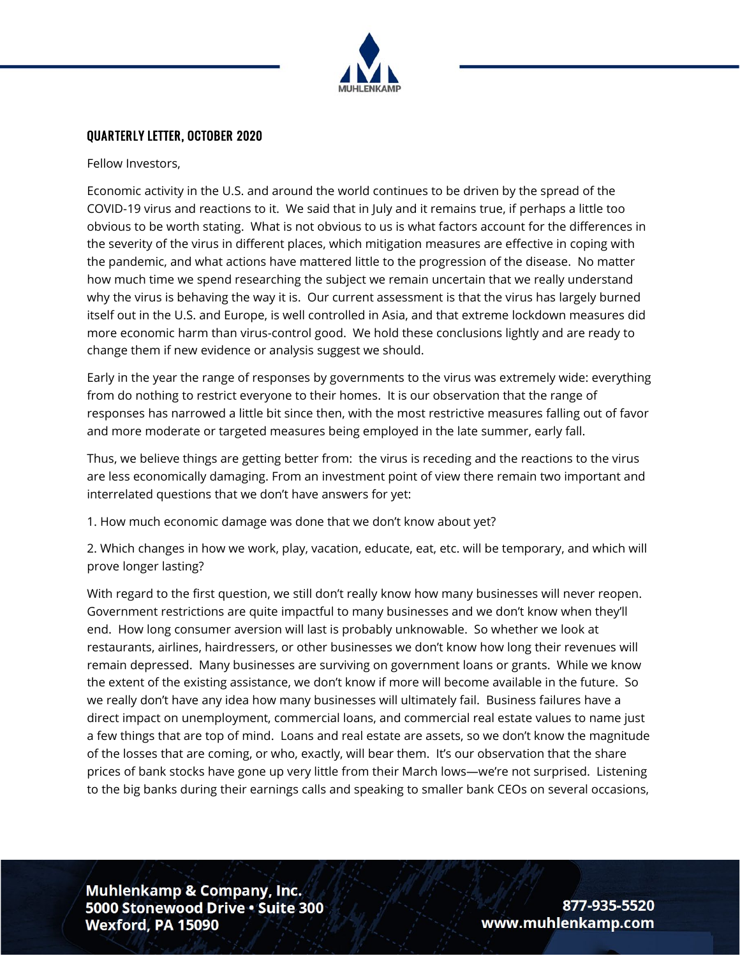

#### QUARTERLY LETTER, OCTOBER 2020

Fellow Investors,

Economic activity in the U.S. and around the world continues to be driven by the spread of the COVID-19 virus and reactions to it. We said that in July and it remains true, if perhaps a little too obvious to be worth stating. What is not obvious to us is what factors account for the differences in the severity of the virus in different places, which mitigation measures are effective in coping with the pandemic, and what actions have mattered little to the progression of the disease. No matter how much time we spend researching the subject we remain uncertain that we really understand why the virus is behaving the way it is. Our current assessment is that the virus has largely burned itself out in the U.S. and Europe, is well controlled in Asia, and that extreme lockdown measures did more economic harm than virus-control good. We hold these conclusions lightly and are ready to change them if new evidence or analysis suggest we should.

Early in the year the range of responses by governments to the virus was extremely wide: everything from do nothing to restrict everyone to their homes. It is our observation that the range of responses has narrowed a little bit since then, with the most restrictive measures falling out of favor and more moderate or targeted measures being employed in the late summer, early fall.

Thus, we believe things are getting better from: the virus is receding and the reactions to the virus are less economically damaging. From an investment point of view there remain two important and interrelated questions that we don't have answers for yet:

1. How much economic damage was done that we don't know about yet?

2. Which changes in how we work, play, vacation, educate, eat, etc. will be temporary, and which will prove longer lasting?

With regard to the first question, we still don't really know how many businesses will never reopen. Government restrictions are quite impactful to many businesses and we don't know when they'll end. How long consumer aversion will last is probably unknowable. So whether we look at restaurants, airlines, hairdressers, or other businesses we don't know how long their revenues will remain depressed. Many businesses are surviving on government loans or grants. While we know the extent of the existing assistance, we don't know if more will become available in the future. So we really don't have any idea how many businesses will ultimately fail. Business failures have a direct impact on unemployment, commercial loans, and commercial real estate values to name just a few things that are top of mind. Loans and real estate are assets, so we don't know the magnitude of the losses that are coming, or who, exactly, will bear them. It's our observation that the share prices of bank stocks have gone up very little from their March lows—we're not surprised. Listening to the big banks during their earnings calls and speaking to smaller bank CEOs on several occasions,

**Muhlenkamp & Company, Inc.** 5000 Stonewood Drive . Suite 300 Wexford, PA 15090

877-935-5520 www.muhlenkamp.com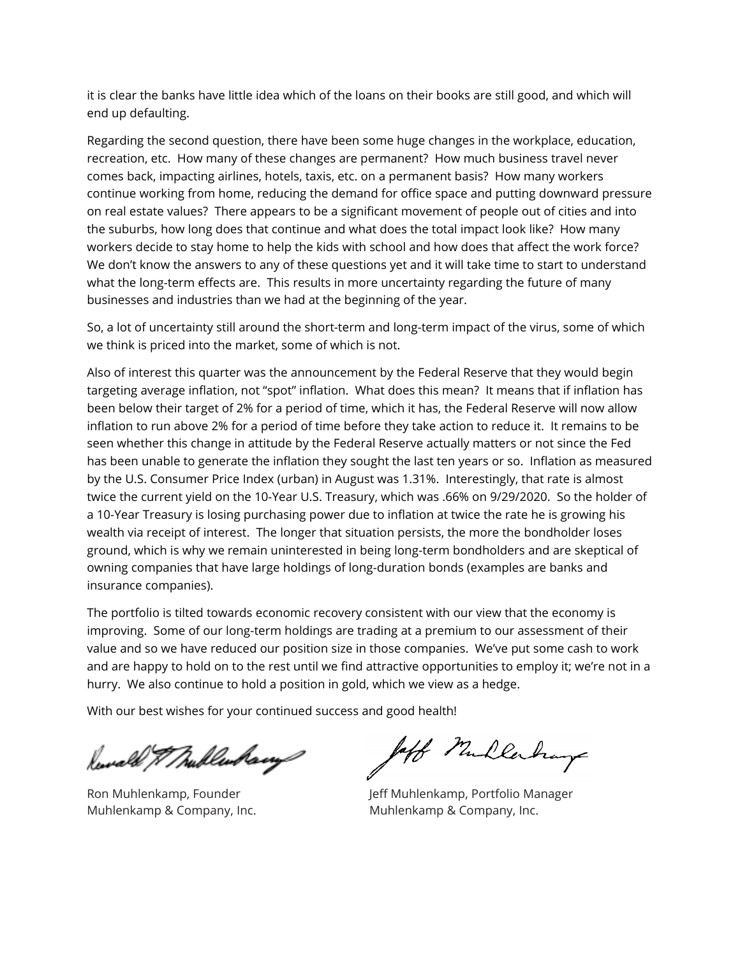it is clear the banks have little idea which of the loans on their books are still good, and which will end up defaulting.

Regarding the second question, there have been some huge changes in the workplace, education, recreation, etc. How many of these changes are permanent? How much business travel never comes back, impacting airlines, hotels, taxis, etc. on a permanent basis? How many workers continue working from home, reducing the demand for office space and putting downward pressure on real estate values? There appears to be a significant movement of people out of cities and into the suburbs, how long does that continue and what does the total impact look like? How many workers decide to stay home to help the kids with school and how does that affect the work force? We don't know the answers to any of these questions yet and it will take time to start to understand what the long-term effects are. This results in more uncertainty regarding the future of many businesses and industries than we had at the beginning of the year.

So, a lot of uncertainty still around the short-term and long-term impact of the virus, some of which we think is priced into the market, some of which is not.

Also of interest this quarter was the announcement by the Federal Reserve that they would begin targeting average inflation, not "spot" inflation. What does this mean? It means that if inflation has been below their target of 2% for a period of time, which it has, the Federal Reserve will now allow inflation to run above 2% for a period of time before they take action to reduce it. It remains to be seen whether this change in attitude by the Federal Reserve actually matters or not since the Fed has been unable to generate the inflation they sought the last ten years or so. Inflation as measured by the U.S. Consumer Price Index (urban) in August was 1.31%. Interestingly, that rate is almost twice the current yield on the 10-Year U.S. Treasury, which was .66% on 9/29/2020. So the holder of a 10-Year Treasury is losing purchasing power due to inflation at twice the rate he is growing his wealth via receipt of interest. The longer that situation persists, the more the bondholder loses ground, which is why we remain uninterested in being long-term bondholders and are skeptical of owning companies that have large holdings of long-duration bonds (examples are banks and insurance companies).

The portfolio is tilted towards economic recovery consistent with our view that the economy is improving. Some of our long-term holdings are trading at a premium to our assessment of their value and so we have reduced our position size in those companies. We've put some cash to work and are happy to hold on to the rest until we find attractive opportunities to employ it; we're not in a hurry. We also continue to hold a position in gold, which we view as a hedge.

With our best wishes for your continued success and good health!

Rewald & Mullenhamp

laff Mullerhay

Ron Muhlenkamp, Founder The Jeff Muhlenkamp, Portfolio Manager Muhlenkamp & Company, Inc. Muhlenkamp & Company, Inc.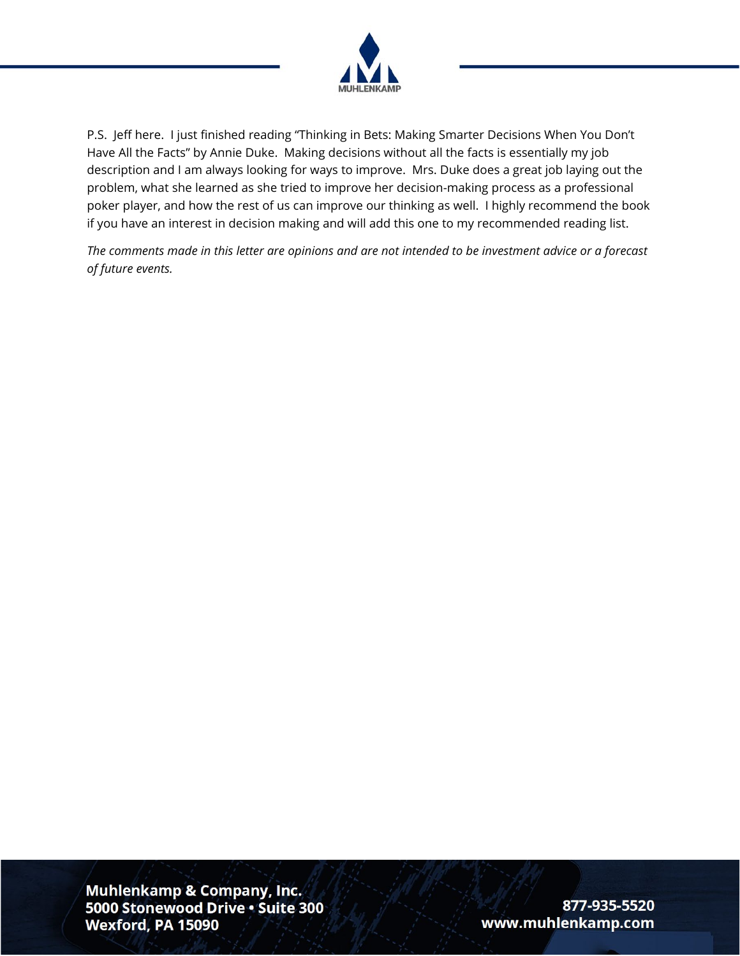

P.S. Jeff here. I just finished reading "Thinking in Bets: Making Smarter Decisions When You Don't Have All the Facts" by Annie Duke. Making decisions without all the facts is essentially my job description and I am always looking for ways to improve. Mrs. Duke does a great job laying out the problem, what she learned as she tried to improve her decision-making process as a professional poker player, and how the rest of us can improve our thinking as well. I highly recommend the book if you have an interest in decision making and will add this one to my recommended reading list.

*The comments made in this letter are opinions and are not intended to be investment advice or a forecast of future events.*

Muhlenkamp & Company, Inc. 5000 Stonewood Drive . Suite 300 Wexford, PA 15090

877-935-5520 www.muhlenkamp.com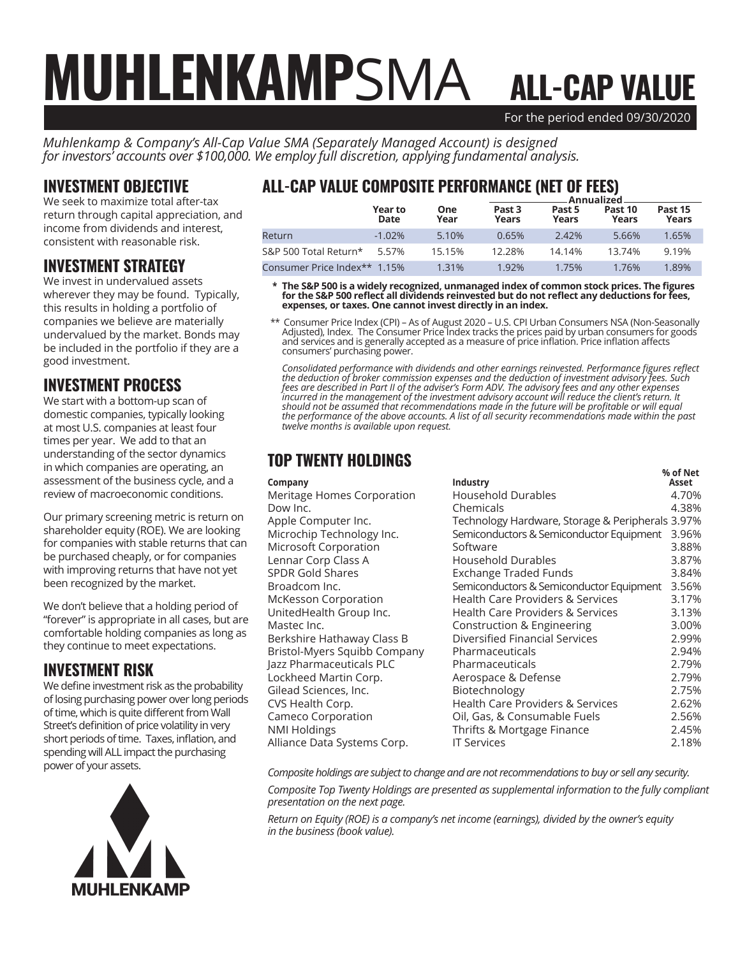# For the period ended 09/30/2020 ALL-CAP VALUE MUHLENKAMPSMA

*Muhlenkamp & Company's All-Cap Value SMA (Separately Managed Account) is designed for investors' accounts over \$100,000. We employ full discretion, applying fundamental analysis.*

#### INVESTMENT OBJECTIVE

We seek to maximize total after-tax return through capital appreciation, and income from dividends and interest, consistent with reasonable risk.

### INVESTMENT STRATEGY

We invest in undervalued assets wherever they may be found. Typically, this results in holding a portfolio of companies we believe are materially undervalued by the market. Bonds may be included in the portfolio if they are a good investment.

### INVESTMENT PROCESS

We start with a bottom-up scan of domestic companies, typically looking at most U.S. companies at least four times per year. We add to that an understanding of the sector dynamics in which companies are operating, an assessment of the business cycle, and a review of macroeconomic conditions.

Our primary screening metric is return on shareholder equity (ROE). We are looking for companies with stable returns that can be purchased cheaply, or for companies with improving returns that have not yet been recognized by the market.

We don't believe that a holding period of "forever" is appropriate in all cases, but are comfortable holding companies as long as they continue to meet expectations.

#### INVESTMENT RISK

We define investment risk as the probability of losing purchasing power over long periods of time, which is quite different from Wall Street's definition of price volatility in very short periods of time. Taxes, inflation, and spending will ALL impact the purchasing power of your assets.



# ALL-CAP VALUE COMPOSITE PERFORMANCE (NET OF FEES)

|                              |                 |                    | Annualized                 |                 |                  |                  |  |
|------------------------------|-----------------|--------------------|----------------------------|-----------------|------------------|------------------|--|
|                              | Year to<br>Date | <b>One</b><br>Year | Past <sub>3</sub><br>Years | Past 5<br>Years | Past 10<br>Years | Past 15<br>Years |  |
| Return                       | $-1.02\%$       | 5.10%              | 0.65%                      | 2.42%           | 5.66%            | 1.65%            |  |
| S&P 500 Total Return*        | 5.57%           | 15.15%             | 12.28%                     | 14.14%          | 13.74%           | 9.19%            |  |
| Consumer Price Index** 1.15% |                 | 1.31%              | 1.92%                      | 1.75%           | 1.76%            | 1.89%            |  |

 **\* The S&P 500 is a widely recognized, unmanaged index of common stock prices. The figures for the S&P 500 reflect all dividends reinvested but do not reflect any deductions for fees, expenses, or taxes. One cannot invest directly in an index.**

 \*\* Consumer Price Index (CPI) – As of August 2020 – U.S. CPI Urban Consumers NSA (Non-Seasonally Adjusted), Index. The Consumer Price Index tracks the prices paid by urban consumers for goods and services and is generally accepted as a measure of price inflation. Price inflation affects consumers' purchasing power.

*Consolidated performance with dividends and other earnings reinvested. Performance figures reflect the deduction of broker commission expenses and the deduction of investment advisory fees. Such fees are described in Part II of the adviser's Form ADV. The advisory fees and any other expenses incurred in the management of the investment advisory account will reduce the client's return. It should not be assumed that recommendations made in the future will be profitable or will equal the performance of the above accounts. A list of all security recommendations made within the past twelve months is available upon request.*

# TOP TWENTY HOLDINGS

|                              |                                                  | % of Net |
|------------------------------|--------------------------------------------------|----------|
| Company                      | Industry                                         | Asset    |
| Meritage Homes Corporation   | Household Durables                               | 4.70%    |
| Dow Inc.                     | Chemicals                                        | 4.38%    |
| Apple Computer Inc.          | Technology Hardware, Storage & Peripherals 3.97% |          |
| Microchip Technology Inc.    | Semiconductors & Semiconductor Equipment         | 3.96%    |
| Microsoft Corporation        | Software                                         | 3.88%    |
| Lennar Corp Class A          | <b>Household Durables</b>                        | 3.87%    |
| <b>SPDR Gold Shares</b>      | Exchange Traded Funds                            | 3.84%    |
| Broadcom Inc.                | Semiconductors & Semiconductor Equipment         | 3.56%    |
| <b>McKesson Corporation</b>  | Health Care Providers & Services                 | 3.17%    |
| UnitedHealth Group Inc.      | <b>Health Care Providers &amp; Services</b>      | 3.13%    |
| Mastec Inc.                  | Construction & Engineering                       | 3.00%    |
| Berkshire Hathaway Class B   | Diversified Financial Services                   | 2.99%    |
| Bristol-Myers Squibb Company | Pharmaceuticals                                  | 2.94%    |
| Jazz Pharmaceuticals PLC     | Pharmaceuticals                                  | 2.79%    |
| Lockheed Martin Corp.        | Aerospace & Defense                              | 2.79%    |
| Gilead Sciences, Inc.        | Biotechnology                                    | 2.75%    |
| CVS Health Corp.             | Health Care Providers & Services                 | 2.62%    |
| Cameco Corporation           | Oil, Gas, & Consumable Fuels                     | 2.56%    |
| <b>NMI Holdings</b>          | Thrifts & Mortgage Finance                       | 2.45%    |
| Alliance Data Systems Corp.  | <b>IT Services</b>                               | 2.18%    |
|                              |                                                  |          |

*Composite holdings are subject to change and are not recommendations to buy or sell any security.*

*Composite Top Twenty Holdings are presented as supplemental information to the fully compliant presentation on the next page.*

*Return on Equity (ROE) is a company's net income (earnings), divided by the owner's equity in the business (book value).*